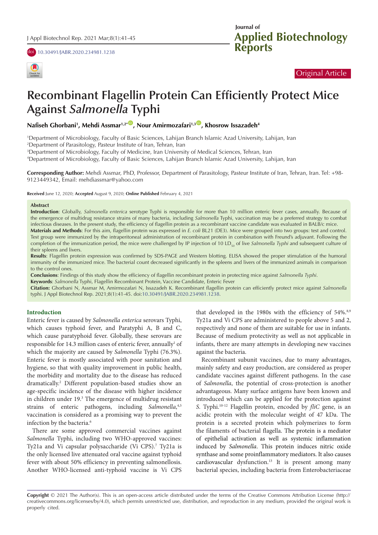doi [10.30491/JABR.2020.234981.1238](https://doi.org/10.30491/JABR.2020.234981.1238)



## **Applied Biotechnology Reports Journal of**

## Original Article

# **Recombinant Flagellin Protein Can Efficiently Protect Mice Against** *Salmonella* **Typhi**

**Nafiseh Ghorbani1 , Mehdi Assmar1,2\*** [ID](http://orcid.org/0000-0002-4309-1040) **, Nour Amirmozafari1,3** [ID](http://orcid.org/0000-0001-5186-8406) **, Khosrow Issazadeh4**

1 Department of Microbiology, Faculty of Basic Sciences, Lahijan Branch Islamic Azad University, Lahijan, Iran 2 Department of Parasitology, Pasteur Institute of Iran, Tehran, Iran

3 Department of Microbiology, Faculty of Medicine, Iran University of Medical Sciences, Tehran, Iran

4 Department of Microbiology, Faculty of Basic Sciences, Lahijan Branch Islamic Azad University, Lahijan, Iran

**Corresponding Author:** Mehdi Assmar, PhD, Professor, Department of Parasitology, Pasteur Institute of Iran, Tehran, Iran. Tel: +98- 9123449342, Email: mehdiassmar@yahoo.com

**Received** June 12, 2020; **Accepted** August 9, 2020; **Online Published** February 4, 2021

#### **Abstract**

**Introduction**: Globally, *Salmonella enterica* serotype Typhi is responsible for more than 10 million enteric fever cases, annually. Because of the emergence of multidrug resistance strains of many bacteria, including *Salmonella* Typhi, vaccination may be a preferred strategy to combat infectious diseases. In the present study, the efficiency of flagellin protein as a recombinant vaccine candidate was evaluated in BALB/c mice. **Materials and Methods**: For this aim, flagellin protein was expressed in *E. coli* BL21 (DE3). Mice were grouped into two groups: test and control. Test group were immunized by the intraperitoneal administration of recombinant protein in combination with Freund's adjuvant. Following the

completion of the immunization period, the mice were challenged by IP injection of 10 LD<sub>so</sub> of live *Salmonella Typhi* and subsequent culture of their spleens and livers.

**Results**: Flagellin protein expression was confirmed by SDS-PAGE and Western blotting. ELISA showed the proper stimulation of the humoral immunity of the immunized mice. The bacterial count decreased significantly in the spleens and livers of the immunized animals in comparison to the control ones.

**Conclusions**: Findings of this study show the efficiency of flagellin recombinant protein in protecting mice against *Salmonella Typhi*.

**Keywords**: *Salmonella* Typhi, Flagellin Recombinant Protein, Vaccine Candidate, Enteric Fever

**Citation:** Ghorbani N, Assmar M, Amirmozafari N, Issazadeh K. Recombinant flagellin protein can efficiently protect mice against *Salmonella*  typhi. J Appl Biotechnol Rep. 2021;8(1):41-45. doi:[10.30491/JABR.2020.234981.1238.](https://doi.org/10.30491/JABR.2020.234981.1238)

#### **Introduction**

Enteric fever is caused by *Salmonella enterica* serovars Typhi, which causes typhoid fever, and Paratyphi A, B and C, which cause paratyphoid fever. Globally, these serovars are responsible for 14.3 million cases of enteric fever, annually<sup>1</sup> of which the majority are caused by *Salmonella* Typhi (76.3%). Enteric fever is mostly associated with poor sanitation and hygiene, so that with quality improvement in public health, the morbidity and mortality due to the disease has reduced dramatically.2 Different population-based studies show an age-specific incidence of the disease with higher incidence in children under 19.<sup>3</sup> The emergence of multidrug resistant strains of enteric pathogens, including *Salmonella*, 4,5 vaccination is considered as a promising way to prevent the infection by the bacteria.<sup>6</sup>

There are some approved commercial vaccines against *Salmonella* Typhi, including two WHO-approved vaccines: Ty21a and Vi capsular polysaccharide (Vi CPS).<sup>7</sup> Ty21a is the only licensed live attenuated oral vaccine against typhoid fever with about 50% efficiency in preventing salmonellosis. Another WHO-licensed anti-typhoid vaccine is Vi CPS that developed in the 1980s with the efficiency of  $54\%$ .<sup>8,9</sup> Ty21a and Vi CPS are administered to people above 5 and 2, respectively and none of them are suitable for use in infants. Because of medium protectivity as well as not applicable in infants, there are many attempts in developing new vaccines against the bacteria.

Recombinant subunit vaccines, due to many advantages, mainly safety and easy production, are considered as proper candidate vaccines against different pathogens. In the case of *Salmonella*, the potential of cross-protection is another advantageous. Many surface antigens have been known and introduced which can be applied for the protection against *S*. Typhi.10-12 Flagellin protein, encoded by *fliC* gene, is an acidic protein with the molecular weight of 47 kDa. The protein is a secreted protein which polymerizes to form the filaments of bacterial flagella. [The protein is a mediator](http://www.jimmunol.org/cgi/pmidlookup?view=long&pmid=11145708&utm_source=TrendMD&utm_medium=cpc&utm_campaign=J_Immunol_TrendMD_0)  [of epithelial activation as well as systemic inflammation](http://www.jimmunol.org/cgi/pmidlookup?view=long&pmid=11145708&utm_source=TrendMD&utm_medium=cpc&utm_campaign=J_Immunol_TrendMD_0)  induced by *Salmonella*[. This protein induces nitric oxide](http://www.jimmunol.org/cgi/pmidlookup?view=long&pmid=11145708&utm_source=TrendMD&utm_medium=cpc&utm_campaign=J_Immunol_TrendMD_0)  [synthase and some proinflammatory mediators. It also causes](http://www.jimmunol.org/cgi/pmidlookup?view=long&pmid=11145708&utm_source=TrendMD&utm_medium=cpc&utm_campaign=J_Immunol_TrendMD_0)  [cardiovascular](http://www.jimmunol.org/cgi/pmidlookup?view=long&pmid=11145708&utm_source=TrendMD&utm_medium=cpc&utm_campaign=J_Immunol_TrendMD_0) dysfunction.<sup>13</sup> It is present among many bacterial species, including bacteria from Enterobacteriaceae

**Copyright** © 2021 The Author(s). This is an open-access article distributed under the terms of the Creative Commons Attribution License (http:// creativecommons.org/licenses/by/4.0), which permits unrestricted use, distribution, and reproduction in any medium, provided the original work is properly cited.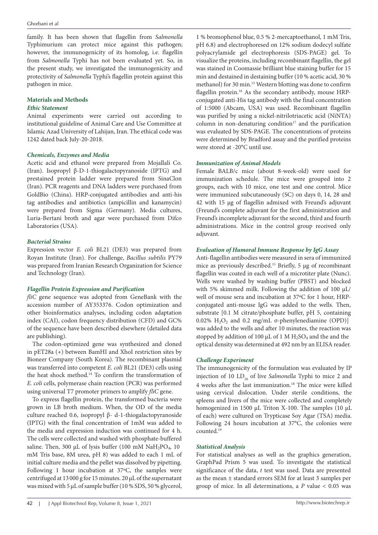pathogen in mice. protectivity of *Salmonella* Typhi's flagellin protein against this the present study, we investigated the immunogenicity and from *Salmonella* Typhi has not been evaluated yet. So, in however, the immunogenicity of its homolog, i.e. flagellin Typhimurium can protect mice against this pathogen; family. It has been shown that flagellin from *Salmonella*

## **Materials and Methods**

### *Ethic Statement*

1242 dated back July-20-2018. Islamic Azad University of Lahijan, Iran. The ethical code was institutional guideline of Animal Care and Use Committee at Animal experiments were carried out according to

## *Chemicals, Enzymes and Media*

Laboratories (USA). Luria-Bertani broth and agar were purchased from Difco were prepared from Sigma (Germany). Media cultures, tag antibodies and antibiotics (ampicillin and kanamycin) GoldBio (China). HRP-conjugated antibodies and anti-his (Iran). PCR reagents and DNA ladders were purchased from prestained protein ladder were prepared from SinaClon (Iran). Isopropyl β-D-1-thiogalactopyranoside (IPTG) and Acetic acid and ethanol were prepared from Mojallali Co.

## *Bacterial Strains*

and Technology (Iran). was prepared from Iranian Research Organization for Science Royan Institute (Iran). For challenge, *Bacillus subtilis* PY79 Expression vector *E. coli* BL21 (DE3) was prepared from

#### *Flagellin Protein Expression and Purification*

are publishing). of the sequence have been described elsewhere (detailed data index (CAI), codon frequency distribution (CFD) and GC% other bioinformatics analyses, including codon adaptation accession number of AY353376. Codon optimization and *fliC* gene sequence was adopted from GeneBank with the

using universal T7 promoter primers to amplify *fliC* gene. *E. coli* cells, polymerase chain reaction (PCR) was performed the heat shock method.<sup>14</sup> To confirm the transformation of was transferred into competent *E. coli* BL21 (DE3) cells using Bioneer Company (South Korea). The recombinant plasmid in pET28a (+) between BamHI and XhoI restriction sites by The codon-optimized gene was synthesized and cloned

was mixed with 5 µL of sample buffer (10 % SDS, 50 % glycerol, centrifuged at 13 000 g for 15 minutes. 20 µL of the supernatant Following 1 hour incubation at 37ºC, the samples were initial culture media and the pellet was dissolved by pipetting. mM Tris base, 8M urea, pH 8) was added to each 1 mL of saline. Then, 300 µL of lysis buffer (100 mM  $\text{NaH}_2\text{PO}_4$ , 10 The cells were collected and washed with phosphate-buffered the media and expression induction was continued for 4 h. (IPTG) with the final concentration of 1mM was added to culture reached 0.6, isopropyl β- d-1-thiogalactopyranoside grown in LB broth medium. When, the OD of the media To express flagellin protein, the transformed bacteria were were stored at -20°C until use. were determined by Bradford assay and the purified proteins was evaluated by SDS-PAGE. The concentrations of proteins column in non-denaturing condition $17$  and the purification was purified by using a nickel-nitrilotriacetic acid (NiNTA) of 1:5000 (Abcam, USA) was used. Recombinant flagellin conjugated anti-His tag antibody with the final concentration flagellin protein.<sup>16</sup> As the secondary antibody, mouse HRPmethanol) for 30 min.<sup>15</sup> Western blotting was done to confirm min and destained in destaining buffer (10 % acetic acid, 30 % was stained in Coomassie brilliant blue staining buffer for 15 visualize the proteins, including recombinant flagellin, the gel polyacrylamide gel electrophoresis (SDS-PAGE) gel. To pH 6.8) and electrophoresed on 12% sodium dodecyl sulfate 1 % bromophenol blue, 0.5 % 2-mercaptoethanol, 1 mM Tris,

#### *Immunization of Animal Models*

adjuvant. administrations. Mice in the control group received only Freund's incomplete adjuvant for the second, third and fourth (Freund's complete adjuvant for the first administration and 42 with 15 µg of flagellin admixed with Freund's adjuvant were immunized subcutaneously (SC) on days 0, 14, 28 and groups, each with 10 mice, one test and one control. Mice immunization schedule. The mice were grouped into 2 Female BALB/c mice (about 8-week-old) were used for

## *Evaluation of Humoral Immune Response by IgG Assay*

optical density was determined at 492 nm by an ELISA reader. stopped by addition of 100  $\mu$ L of 1 M H<sub>2</sub>SO<sub>4</sub> and the and the was added to the wells and after 10 minutes, the reaction was 0.02%  $H_2O_2$  and 0.2 mg/mL σ-phenylenediamine (OPD)] substrate [0.1 M citrate/phosphate buffer, pH 5, containing conjugated anti-mouse IgG was added to the wells. Then, well of mouse sera and incubation at 37ºC for 1 hour, HRPwith 5% skimmed milk. Following the addition of 100  $\mu$ L/ Wells were washed by washing buffer (PBST) and blocked flagellin was coated in each well of a microtiter plate (Nunc). mice as previously described.<sup>15</sup> Briefly, 5 µg of recombinant Anti-flagellin antibodies were measured in sera of immunized

## *Challenge Experiment*

counted.<sup>19</sup> Following 24 hours incubation at 37°C, the colonies were of each) were cultured on Trypticase Soy Agar (TSA) media. homogenized in 1500 µL Triton X-100. The samples (10 µL spleens and livers of the mice were collected and completely using cervical dislocation. Under sterile conditions, the 4 weeks after the last immunization.<sup>18</sup> The mice were killed injection of 10 LD<sub>50</sub> of live *Salmonella* Typhi to mice 2 and The immunogenicity of the formulation was evaluated by IP

#### *Statistical Analysis*

group of mice. In all determinations, a *P* value < 0.05 was as the mean ± standard errors SEM for at least 3 samples per significance of the data, *t* test was used. Data are presented GraphPad Prism 5 was used. To investigate the statistical For statistical analyses as well as the graphics generation,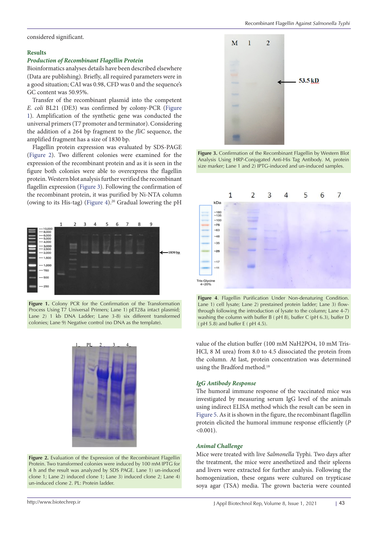#### **Results**

## *Production of Recombinant Flagellin Protein*

Bioinformatics analyses details have been described elsewhere (Data are publishing). Briefly, all required parameters were in a good situation; CAI was 0.98, CFD was 0 and the sequence's GC content was 50.95%.

Transfer of the recombinant plasmid into the competent *E. coli* BL21 (DE3) was confirmed by colony-PCR ([Figure](#page-2-0) [1](#page-2-0)). Amplification of the synthetic gene was conducted the universal primers (T7 promoter and terminator). Considering the addition of a 264 bp fragment to the *fliC* sequence, the amplified fragment has a size of 1830 bp.

Flagellin protein expression was evaluated by SDS-PAGE ([Figure 2](#page-2-1)). Two different colonies were examined for the expression of the recombinant protein and as it is seen in the figure both colonies were able to overexpress the flagellin protein. Western blot analysis further verified the recombinant flagellin expression [\(Figure 3\)](#page-2-2). Following the confirmation of the recombinant protein, it was purified by Ni-NTA column (owing to its His-tag) [\(Figure 4\)](#page-2-3).20 Gradual lowering the pH

<span id="page-2-0"></span>

Process Using T7 Universal Primers; Lane 1) pET28a intact plasmid;  $\frac{1}{100}$  through for Lane 2) 1 kb DNA Ladder; Lane 3-8) six different transformed  $\overline{\phantom{a}}$  washing the colonies; Lane 9) Negative control (no DNA as the template). **Figure 1.** Colony PCR for the Confirmation of the Transformation



**Figure 2.** Evaluation of the Expression of the Recombinant Flagellin Protein. Two transformed colonies were induced by 100 mM IPTG for **4. Lane 11** clone 1; Lane 2) induced clone 1; Lane 3) induced clone 2; Lane 4) un-induced clone 2. PL: Protein ladder. 4 h and the result was analyzed by SDS PAGE. Lane 1) un-induced

<span id="page-2-2"></span>

size marker; Lane 1 and 2) IPTG-induced and un-induced samples. Analysis Using HRP-Conjugated Anti-His Tag Antibody. M, protein **Figure 3.** Confirmation of the Recombinant Flagellin by Western Blot

<span id="page-2-3"></span>

<span id="page-2-1"></span>**Figure 1** of the Transformation Lane 1) cell lysate; Lane 2) prestained protein ladder; Lane 3) flowhe 1) pET28a intact plasmid; through following the introduction of lysate to the column; Lane 4-7)<br><sup>9)</sup> six different transformed  $(pH 5.8)$  and buffer E (  $pH 4.5$ ), but for  $pH 5.8$ ) and buffer E (  $pH 4.5$ ). washing the column with buffer B ( pH 8), buffer C (pH 6.3), buffer D **Figure 4**. Flagellin Purification Under Non-denaturing Condition.

value of the elution buffer (100 mM NaH2PO4, 10 mM Tris-HCl, 8 M urea) from 8.0 to 4.5 dissociated the protein from the column. At last, protein concentration was determined using the Bradford method.18

## *IgG Antibody Response*

The humoral immune response of the vaccinated mice was investigated by measuring serum IgG level of the animals using indirect ELISA method which the result can be seen in [Figure 5](#page-3-0). As it is shown in the figure, the recombinant flagellin protein elicited the humoral immune response efficiently (*P*  $< 0.001$ ).

#### *Animal Challenge*

Mice were treated with live *Salmonella* Typhi. Two days after the treatment, the mice were anesthetized and their spleens and livers were extracted for further analysis. Following the homogenization, these organs were cultured on trypticase soya agar (TSA) media. The grown bacteria were counted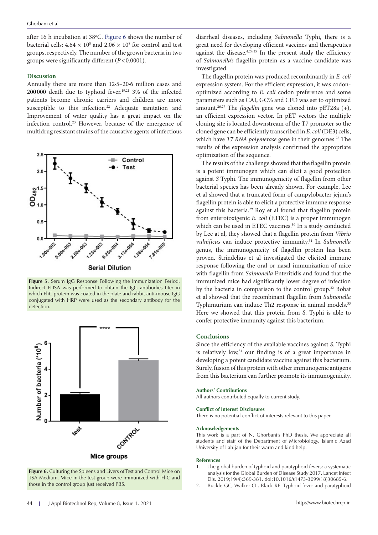after 16 h incubation at 38ºC. [Figure 6](#page-3-1) shows the number of bacterial cells:  $4.64 \times 10^8$  and  $2.06 \times 10^8$  for control and test groups, respectively. The number of the grown bacteria in two groups were significantly different (*P*<0.0001).

#### **Discussion**

Annually there are more than 12·5–20·6 million cases and 200 000 death due to typhoid fever.19,21 3% of the infected patients become chronic carriers and children are more susceptible to this infection.<sup>22</sup> Adequate sanitation and Improvement of water quality has a great impact on the infection control.23 However, because of the emergence of multidrug resistant strains of the causative agents of infectious

<span id="page-3-0"></span>

**Figure 5.** Serum IgG Response Following the Immunization Period. Indirect ELISA was performed to obtain the IgG antibodies titer in which FliC protein was coated in the plate and rabbit anti-mouse IgG conjugated with HRP were used as the secondary antibody for the detection.

<span id="page-3-1"></span>

**Figure 6.** Culturing the Spleens and Livers of Test and Control Mice on TSA Medium. Mice in the test group were immunized with FliC and those in the control group just received PBS.

diarrheal diseases, including *Salmonella* Typhi, there is a great need for developing efficient vaccines and therapeutics against the disease. $4,24,25$  In the present study the efficiency of *Salmonella's* flagellin protein as a vaccine candidate was investigated.

The flagellin protein was produced recombinantly in *E. coli* expression system. For the efficient expression, it was codonoptimized according to *E. coli* codon preference and some parameters such as CAI, GC% and CFD was set to optimized amount.26,27 The *flagellin* gene was cloned into pET28a (+), an efficient expression vector. In pET vectors the multiple cloning site is located downstream of the T7 promoter so the cloned gene can be efficiently transcribed in *E. coli* (DE3) cells, which have *T7 RNA polymerase* gene in their genomes.<sup>28</sup> The results of the expression analysis confirmed the appropriate optimization of the sequence.

The results of the challenge showed that the flagellin protein is a potent immunogen which can elicit a good protection against *S* Typhi. The immunogenicity of flagellin from other bacterial species has been already shown. For example, Lee et al showed that a truncated form of campylobacter jejuni's flagellin protein is able to elicit a protective immune response against this bacteria.<sup>29</sup> Roy et al found that flagellin protein from enterotoxigenic *E. coli* (ETEC) is a proper immunogen which can be used in ETEC vaccines.<sup>30</sup> In a study conducted by Lee at al, they showed that a flagellin protein from *Vibrio vulnificus* can induce protective immunity.<sup>31</sup> In *Salmonella* genus, the immunogenicity of flagellin protein has been proven. Strindelius et al investigated the elicited immune response following the oral or nasal immunization of mice with flagellin from *Salmonella* Enteritidis and found that the immunized mice had significantly lower degree of infection by the bacteria in comparison to the control group.32 Bobat et al showed that the recombinant flagellin from *Salmonella* Typhimurium can induce Th2 response in animal models.<sup>33</sup> Here we showed that this protein from *S*. Typhi is able to confer protective immunity against this bacterium.

#### **Conclusions**

Since the efficiency of the available vaccines against *S*. Typhi is relatively low,<sup>34</sup> our finding is of a great importance in developing a potent candidate vaccine against this bacterium. Surely, fusion of this protein with other immunogenic antigens from this bacterium can further promote its immunogenicity.

#### **Authors' Contributions**

All authors contributed equally to current study.

#### **Conflict of Interest Disclosures**

There is no potential conflict of interests relevant to this paper.

#### **Acknowledgements**

This work is a part of N. Ghorbani's PhD thesis. We appreciate all students and staff of the Department of Microbiology, Islamic Azad University of Lahijan for their warm and kind help.

#### **References**

- 1. The global burden of typhoid and paratyphoid fevers: a systematic analysis for the Global Burden of Disease Study 2017. Lancet Infect Dis. 2019;19(4):369-381. doi[:10.1016/s1473-3099\(18\)30685-6](https://doi.org/10.1016/s1473-3099(18)30685-6).
- 2. Buckle GC, Walker CL, Black RE. Typhoid fever and paratyphoid